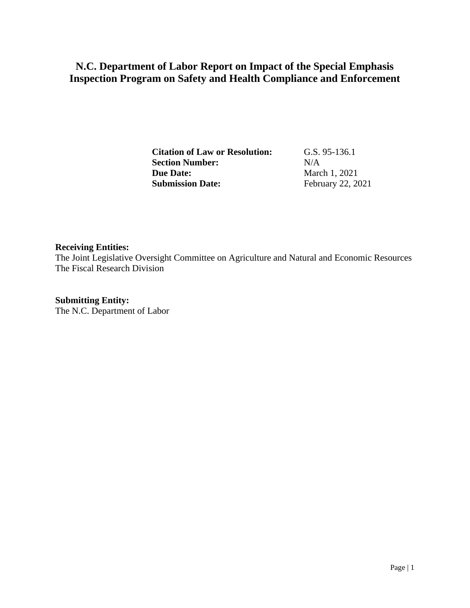# **N.C. Department of Labor Report on Impact of the Special Emphasis Inspection Program on Safety and Health Compliance and Enforcement**

**Citation of Law or Resolution:** G.S. 95-136.1 **Section Number:** N/A **Due Date:** March 1, 2021<br> **Submission Date:** February 22, 20

**Submission Date:** February 22, 2021

#### **Receiving Entities:**

The Joint Legislative Oversight Committee on Agriculture and Natural and Economic Resources The Fiscal Research Division

**Submitting Entity:**

The N.C. Department of Labor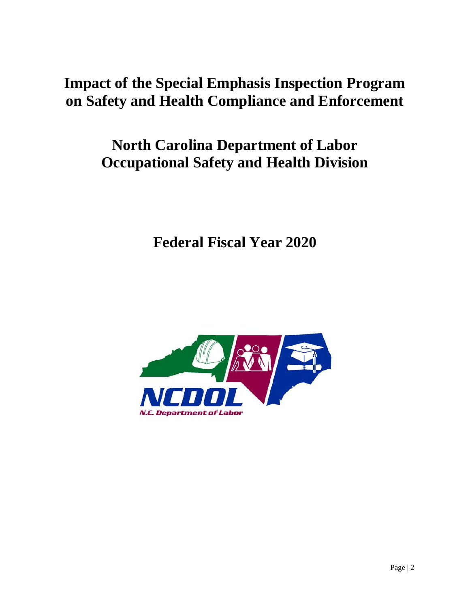# **Impact of the Special Emphasis Inspection Program on Safety and Health Compliance and Enforcement**

# **North Carolina Department of Labor Occupational Safety and Health Division**

**Federal Fiscal Year 2020**

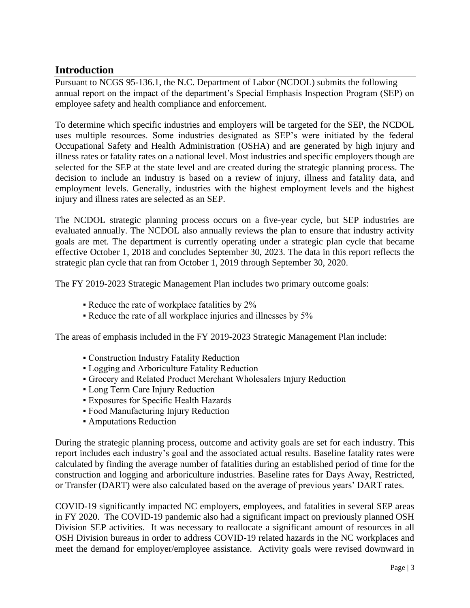# **Introduction**

Pursuant to NCGS 95-136.1, the N.C. Department of Labor (NCDOL) submits the following annual report on the impact of the department's Special Emphasis Inspection Program (SEP) on employee safety and health compliance and enforcement.

To determine which specific industries and employers will be targeted for the SEP, the NCDOL uses multiple resources. Some industries designated as SEP's were initiated by the federal Occupational Safety and Health Administration (OSHA) and are generated by high injury and illness rates or fatality rates on a national level. Most industries and specific employers though are selected for the SEP at the state level and are created during the strategic planning process. The decision to include an industry is based on a review of injury, illness and fatality data, and employment levels. Generally, industries with the highest employment levels and the highest injury and illness rates are selected as an SEP.

The NCDOL strategic planning process occurs on a five-year cycle, but SEP industries are evaluated annually. The NCDOL also annually reviews the plan to ensure that industry activity goals are met. The department is currently operating under a strategic plan cycle that became effective October 1, 2018 and concludes September 30, 2023. The data in this report reflects the strategic plan cycle that ran from October 1, 2019 through September 30, 2020.

The FY 2019-2023 Strategic Management Plan includes two primary outcome goals:

- Reduce the rate of workplace fatalities by 2%
- Reduce the rate of all workplace injuries and illnesses by 5%

The areas of emphasis included in the FY 2019-2023 Strategic Management Plan include:

- Construction Industry Fatality Reduction
- Logging and Arboriculture Fatality Reduction
- Grocery and Related Product Merchant Wholesalers Injury Reduction
- **Long Term Care Injury Reduction**
- Exposures for Specific Health Hazards
- Food Manufacturing Injury Reduction
- Amputations Reduction

During the strategic planning process, outcome and activity goals are set for each industry. This report includes each industry's goal and the associated actual results. Baseline fatality rates were calculated by finding the average number of fatalities during an established period of time for the construction and logging and arboriculture industries. Baseline rates for Days Away, Restricted, or Transfer (DART) were also calculated based on the average of previous years' DART rates.

COVID-19 significantly impacted NC employers, employees, and fatalities in several SEP areas in FY 2020. The COVID-19 pandemic also had a significant impact on previously planned OSH Division SEP activities. It was necessary to reallocate a significant amount of resources in all OSH Division bureaus in order to address COVID-19 related hazards in the NC workplaces and meet the demand for employer/employee assistance. Activity goals were revised downward in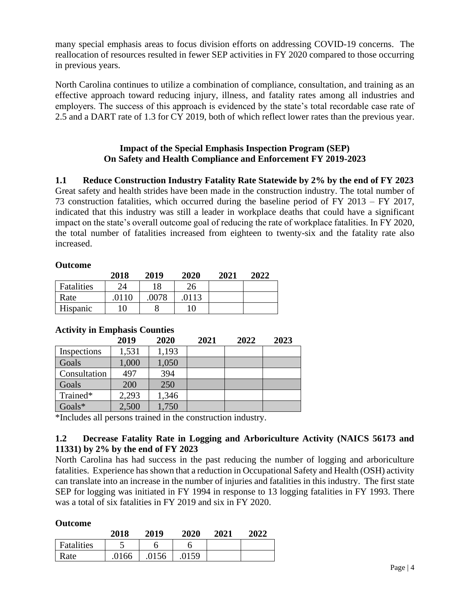many special emphasis areas to focus division efforts on addressing COVID-19 concerns. The reallocation of resources resulted in fewer SEP activities in FY 2020 compared to those occurring in previous years.

North Carolina continues to utilize a combination of compliance, consultation, and training as an effective approach toward reducing injury, illness, and fatality rates among all industries and employers. The success of this approach is evidenced by the state's total recordable case rate of 2.5 and a DART rate of 1.3 for CY 2019, both of which reflect lower rates than the previous year.

### **Impact of the Special Emphasis Inspection Program (SEP) On Safety and Health Compliance and Enforcement FY 2019-2023**

**1.1 Reduce Construction Industry Fatality Rate Statewide by 2% by the end of FY 2023** Great safety and health strides have been made in the construction industry. The total number of 73 construction fatalities, which occurred during the baseline period of FY 2013 – FY 2017, indicated that this industry was still a leader in workplace deaths that could have a significant impact on the state's overall outcome goal of reducing the rate of workplace fatalities. In FY 2020, the total number of fatalities increased from eighteen to twenty-six and the fatality rate also increased.

#### **Outcome**

|            | 2018 | 2019 | 2020 | 2021 | 2022 |
|------------|------|------|------|------|------|
| Fatalities | 24   | 18   | 26   |      |      |
| Rate       | 0110 | 0078 | 0113 |      |      |
| Hispanic   | 10   |      | 10   |      |      |

|              | 2019  | 2020  | 2021 | 2022 | 2023 |
|--------------|-------|-------|------|------|------|
| Inspections  | 1,531 | 1,193 |      |      |      |
| Goals        | 1,000 | 1,050 |      |      |      |
| Consultation | 497   | 394   |      |      |      |
| Goals        | 200   | 250   |      |      |      |
| Trained*     | 2,293 | 1,346 |      |      |      |
| Goals*       | 2,500 | 1,750 |      |      |      |

# **Activity in Emphasis Counties**

\*Includes all persons trained in the construction industry.

# **1.2 Decrease Fatality Rate in Logging and Arboriculture Activity (NAICS 56173 and 11331) by 2% by the end of FY 2023**

North Carolina has had success in the past reducing the number of logging and arboriculture fatalities. Experience has shown that a reduction in Occupational Safety and Health (OSH) activity can translate into an increase in the number of injuries and fatalities in this industry. The first state SEP for logging was initiated in FY 1994 in response to 13 logging fatalities in FY 1993. There was a total of six fatalities in FY 2019 and six in FY 2020.

#### **Outcome**

|            | 2018 | 2019  | 2020 | 2021 | 2022 |
|------------|------|-------|------|------|------|
| Fatalities | ب    |       |      |      |      |
| Rate       | 0166 | .0156 | 0159 |      |      |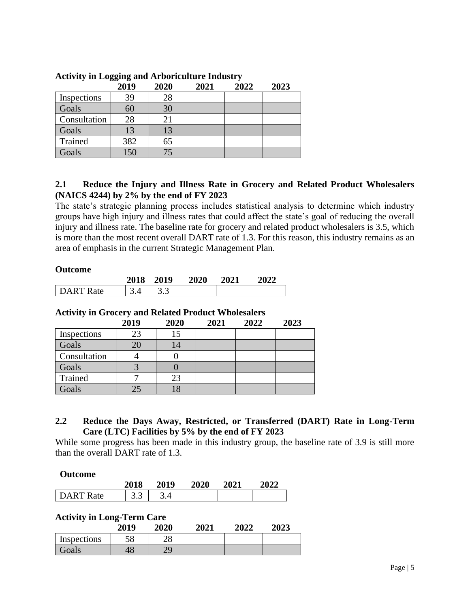| - -- · -- <u>.</u> , | ----- <del>----</del> -<br>2019 | 2020 | 2021 | 2022 | 2023 |
|----------------------|---------------------------------|------|------|------|------|
| Inspections          | 39                              | 28   |      |      |      |
| Goals                | 60                              | 30   |      |      |      |
| Consultation         | 28                              | 21   |      |      |      |
| Goals                |                                 | 13   |      |      |      |
| Trained              | 382                             | 65   |      |      |      |
| Goals                |                                 | 75   |      |      |      |

## **Activity in Logging and Arboriculture Industry**

#### **2.1 Reduce the Injury and Illness Rate in Grocery and Related Product Wholesalers (NAICS 4244) by 2% by the end of FY 2023**

The state's strategic planning process includes statistical analysis to determine which industry groups have high injury and illness rates that could affect the state's goal of reducing the overall injury and illness rate. The baseline rate for grocery and related product wholesalers is 3.5, which is more than the most recent overall DART rate of 1.3. For this reason, this industry remains as an area of emphasis in the current Strategic Management Plan.

#### **Outcome**

|           | 2018 | 2019 | 2020 | <b>2021</b> | 2022 |
|-----------|------|------|------|-------------|------|
| DART Rate |      | ن. ر |      |             |      |

#### **Activity in Grocery and Related Product Wholesalers**

|              | 2019 | 2020 | 2021 | 2022 | 2023 |
|--------------|------|------|------|------|------|
| Inspections  | 23   | 15   |      |      |      |
| Goals        | 20   | 14   |      |      |      |
| Consultation |      |      |      |      |      |
| Goals        |      |      |      |      |      |
| Trained      |      | 23   |      |      |      |
| Goals        |      |      |      |      |      |

#### **2.2 Reduce the Days Away, Restricted, or Transferred (DART) Rate in Long-Term Care (LTC) Facilities by 5% by the end of FY 2023**

While some progress has been made in this industry group, the baseline rate of 3.9 is still more than the overall DART rate of 1.3.

#### **Outcome**

|              | 2018 | 2019 | <b>2020</b> | 2021 | 2022 |
|--------------|------|------|-------------|------|------|
| DART<br>Rate | ن. ب |      |             |      |      |

#### **Activity in Long-Term Care**

|             | 2019 | 2020     | 2021 | 2022 | 2023 |
|-------------|------|----------|------|------|------|
| Inspections | 58   | າດ<br>20 |      |      |      |
| Goals       | ŦΟ   | 7Ο       |      |      |      |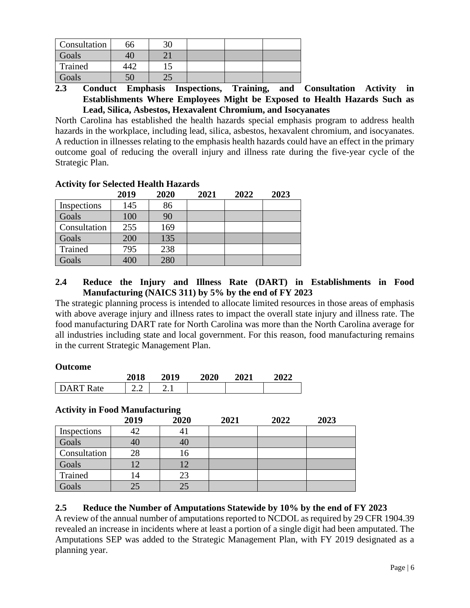| Consultation | 66 |  |  |
|--------------|----|--|--|
| Goals        |    |  |  |
| Trained      |    |  |  |
| Goals        |    |  |  |

**2.3 Conduct Emphasis Inspections, Training, and Consultation Activity in Establishments Where Employees Might be Exposed to Health Hazards Such as Lead, Silica, Asbestos, Hexavalent Chromium, and Isocyanates**

North Carolina has established the health hazards special emphasis program to address health hazards in the workplace, including lead, silica, asbestos, hexavalent chromium, and isocyanates. A reduction in illnesses relating to the emphasis health hazards could have an effect in the primary outcome goal of reducing the overall injury and illness rate during the five-year cycle of the Strategic Plan.

# **Activity for Selected Health Hazards**

|              | 2019 | 2020 | 2021 | 2022 | 2023 |
|--------------|------|------|------|------|------|
| Inspections  | 145  | 86   |      |      |      |
| Goals        | 100  | 90   |      |      |      |
| Consultation | 255  | 169  |      |      |      |
| Goals        | 200  | 135  |      |      |      |
| Trained      | 795  | 238  |      |      |      |
| Goals        | 400  | 280  |      |      |      |

## **2.4 Reduce the Injury and Illness Rate (DART) in Establishments in Food Manufacturing (NAICS 311) by 5% by the end of FY 2023**

The strategic planning process is intended to allocate limited resources in those areas of emphasis with above average injury and illness rates to impact the overall state injury and illness rate. The food manufacturing DART rate for North Carolina was more than the North Carolina average for all industries including state and local government. For this reason, food manufacturing remains in the current Strategic Management Plan.

#### **Outcome**

|           | 2018 | 2019     | 2020 | <b>2021</b> | 2022 |
|-----------|------|----------|------|-------------|------|
| DART Rate | –. – | <u>.</u> |      |             |      |

# **Activity in Food Manufacturing**

|              | 2019 | 2020 | 2021 | 2022 | 2023 |
|--------------|------|------|------|------|------|
| Inspections  | 42   | 41   |      |      |      |
| Goals        | 40   | 40   |      |      |      |
| Consultation | 28   | 16   |      |      |      |
| Goals        | .2   | !2   |      |      |      |
| Trained      | 14   | 23   |      |      |      |
| Goals        |      | 25   |      |      |      |

# **2.5 Reduce the Number of Amputations Statewide by 10% by the end of FY 2023**

A review of the annual number of amputations reported to NCDOL as required by 29 CFR 1904.39 revealed an increase in incidents where at least a portion of a single digit had been amputated. The Amputations SEP was added to the Strategic Management Plan, with FY 2019 designated as a planning year.